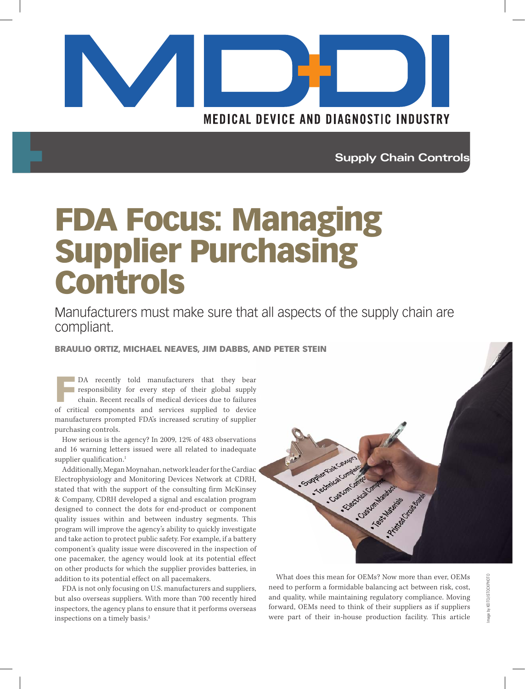

**Supply Chain Controls**

# FDA Focus: Managing Supplier Purchasing Controls

Manufacturers must make sure that all aspects of the supply chain are compliant.

BRAULIO ORTIZ, MICHAEL NEAVES, JIM DABBS, AND PETER STEIN

F DA recently told manufacturers that they bear responsibility for every step of their global supply chain. Recent recalls of medical devices due to failures of critical components and services supplied to device manufacturers prompted FDA's increased scrutiny of supplier purchasing controls.

How serious is the agency? In 2009, 12% of 483 observations and 16 warning letters issued were all related to inadequate supplier qualification.<sup>1</sup>

Additionally, Megan Moynahan, network leader for the Cardiac Electrophysiology and Monitoring Devices Network at CDRH, stated that with the support of the consulting firm McKinsey & Company, CDRH developed a signal and escalation program designed to connect the dots for end-product or component quality issues within and between industry segments. This program will improve the agency's ability to quickly investigate and take action to protect public safety. For example, if a battery component's quality issue were discovered in the inspection of one pacemaker, the agency would look at its potential effect on other products for which the supplier provides batteries, in addition to its potential effect on all pacemakers.

FDA is not only focusing on U.S. manufacturers and suppliers, but also overseas suppliers. With more than 700 recently hired inspectors, the agency plans to ensure that it performs overseas inspections on a timely basis.2



What does this mean for OEMs? Now more than ever, OEMs need to perform a formidable balancing act between risk, cost, and quality, while maintaining regulatory compliance. Moving forward, OEMs need to think of their suppliers as if suppliers were part of their in-house production facility. This article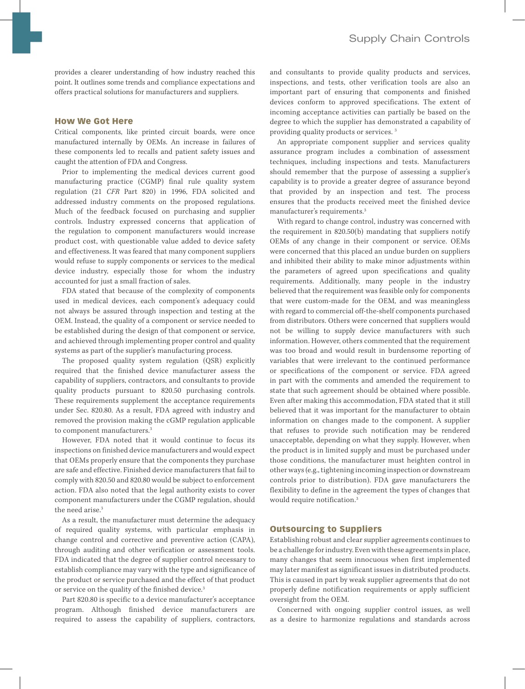provides a clearer understanding of how industry reached this point. It outlines some trends and compliance expectations and offers practical solutions for manufacturers and suppliers.

## How We Got Here

Critical components, like printed circuit boards, were once manufactured internally by OEMs. An increase in failures of these components led to recalls and patient safety issues and caught the attention of FDA and Congress.

Prior to implementing the medical devices current good manufacturing practice (CGMP) final rule quality system regulation (21 *CFR* Part 820) in 1996, FDA solicited and addressed industry comments on the proposed regulations. Much of the feedback focused on purchasing and supplier controls. Industry expressed concerns that application of the regulation to component manufacturers would increase product cost, with questionable value added to device safety and effectiveness. It was feared that many component suppliers would refuse to supply components or services to the medical device industry, especially those for whom the industry accounted for just a small fraction of sales.

FDA stated that because of the complexity of components used in medical devices, each component's adequacy could not always be assured through inspection and testing at the OEM. Instead, the quality of a component or service needed to be established during the design of that component or service, and achieved through implementing proper control and quality systems as part of the supplier's manufacturing process.

The proposed quality system regulation (QSR) explicitly required that the finished device manufacturer assess the capability of suppliers, contractors, and consultants to provide quality products pursuant to 820.50 purchasing controls. These requirements supplement the acceptance requirements under Sec. 820.80. As a result, FDA agreed with industry and removed the provision making the cGMP regulation applicable to component manufacturers.3

However, FDA noted that it would continue to focus its inspections on finished device manufacturers and would expect that OEMs properly ensure that the components they purchase are safe and effective. Finished device manufacturers that fail to comply with 820.50 and 820.80 would be subject to enforcement action. FDA also noted that the legal authority exists to cover component manufacturers under the CGMP regulation, should the need arise.<sup>3</sup>

As a result, the manufacturer must determine the adequacy of required quality systems, with particular emphasis in change control and corrective and preventive action (CAPA), through auditing and other verification or assessment tools. FDA indicated that the degree of supplier control necessary to establish compliance may vary with the type and significance of the product or service purchased and the effect of that product or service on the quality of the finished device.<sup>3</sup>

Part 820.80 is specific to a device manufacturer's acceptance program. Although finished device manufacturers are required to assess the capability of suppliers, contractors, and consultants to provide quality products and services, inspections, and tests, other verification tools are also an important part of ensuring that components and finished devices conform to approved specifications. The extent of incoming acceptance activities can partially be based on the degree to which the supplier has demonstrated a capability of providing quality products or services. 3

An appropriate component supplier and services quality assurance program includes a combination of assessment techniques, including inspections and tests. Manufacturers should remember that the purpose of assessing a supplier's capability is to provide a greater degree of assurance beyond that provided by an inspection and test. The process ensures that the products received meet the finished device manufacturer's requirements.3

With regard to change control, industry was concerned with the requirement in 820.50(b) mandating that suppliers notify OEMs of any change in their component or service. OEMs were concerned that this placed an undue burden on suppliers and inhibited their ability to make minor adjustments within the parameters of agreed upon specifications and quality requirements. Additionally, many people in the industry believed that the requirement was feasible only for components that were custom-made for the OEM, and was meaningless with regard to commercial off-the-shelf components purchased from distributors. Others were concerned that suppliers would not be willing to supply device manufacturers with such information. However, others commented that the requirement was too broad and would result in burdensome reporting of variables that were irrelevant to the continued performance or specifications of the component or service. FDA agreed in part with the comments and amended the requirement to state that such agreement should be obtained where possible. Even after making this accommodation, FDA stated that it still believed that it was important for the manufacturer to obtain information on changes made to the component. A supplier that refuses to provide such notification may be rendered unacceptable, depending on what they supply. However, when the product is in limited supply and must be purchased under those conditions, the manufacturer must heighten control in other ways (e.g., tightening incoming inspection or downstream controls prior to distribution). FDA gave manufacturers the flexibility to define in the agreement the types of changes that would require notification.3

## Outsourcing to Suppliers

Establishing robust and clear supplier agreements continues to be a challenge for industry. Even with these agreements in place, many changes that seem innocuous when first implemented may later manifest as significant issues in distributed products. This is caused in part by weak supplier agreements that do not properly define notification requirements or apply sufficient oversight from the OEM.

Concerned with ongoing supplier control issues, as well as a desire to harmonize regulations and standards across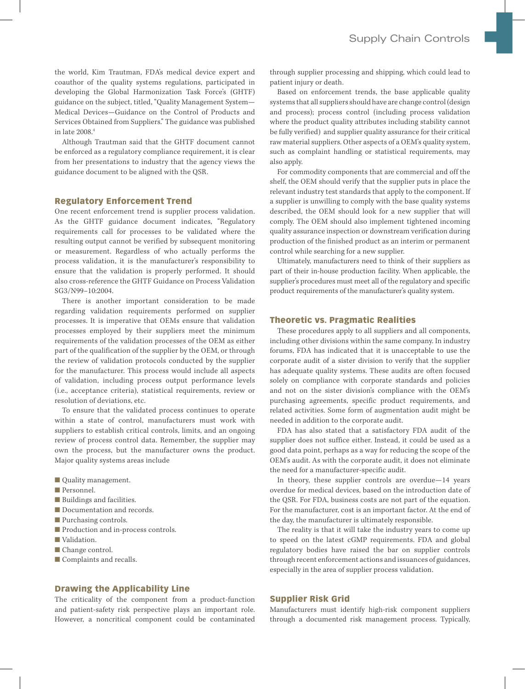the world, Kim Trautman, FDA's medical device expert and coauthor of the quality systems regulations, participated in developing the Global Harmonization Task Force's (GHTF) guidance on the subject, titled, "Quality Management System— Medical Devices—Guidance on the Control of Products and Services Obtained from Suppliers." The guidance was published in late 2008.4

Although Trautman said that the GHTF document cannot be enforced as a regulatory compliance requirement, it is clear from her presentations to industry that the agency views the guidance document to be aligned with the QSR.

## Regulatory Enforcement Trend

One recent enforcement trend is supplier process validation. As the GHTF guidance document indicates, "Regulatory requirements call for processes to be validated where the resulting output cannot be verified by subsequent monitoring or measurement. Regardless of who actually performs the process validation, it is the manufacturer's responsibility to ensure that the validation is properly performed. It should also cross-reference the GHTF Guidance on Process Validation SG3/N99–10:2004.

There is another important consideration to be made regarding validation requirements performed on supplier processes. It is imperative that OEMs ensure that validation processes employed by their suppliers meet the minimum requirements of the validation processes of the OEM as either part of the qualification of the supplier by the OEM, or through the review of validation protocols conducted by the supplier for the manufacturer. This process would include all aspects of validation, including process output performance levels (i.e., acceptance criteria), statistical requirements, review or resolution of deviations, etc.

To ensure that the validated process continues to operate within a state of control, manufacturers must work with suppliers to establish critical controls, limits, and an ongoing review of process control data. Remember, the supplier may own the process, but the manufacturer owns the product. Major quality systems areas include

- Quality management.
- Personnel.
- Buildings and facilities.
- Documentation and records.
- Purchasing controls.
- Production and in-process controls.
- Validation.
- Change control.
- Complaints and recalls.

## Drawing the Applicability Line

The criticality of the component from a product-function and patient-safety risk perspective plays an important role. However, a noncritical component could be contaminated

through supplier processing and shipping, which could lead to patient injury or death.

Based on enforcement trends, the base applicable quality systems that all suppliers should have are change control (design and process); process control (including process validation where the product quality attributes including stability cannot be fully verified) and supplier quality assurance for their critical raw material suppliers. Other aspects of a OEM's quality system, such as complaint handling or statistical requirements, may also apply.

For commodity components that are commercial and off the shelf, the OEM should verify that the supplier puts in place the relevant industry test standards that apply to the component. If a supplier is unwilling to comply with the base quality systems described, the OEM should look for a new supplier that will comply. The OEM should also implement tightened incoming quality assurance inspection or downstream verification during production of the finished product as an interim or permanent control while searching for a new supplier.

Ultimately, manufacturers need to think of their suppliers as part of their in-house production facility. When applicable, the supplier's procedures must meet all of the regulatory and specific product requirements of the manufacturer's quality system.

### Theoretic vs. Pragmatic Realities

These procedures apply to all suppliers and all components, including other divisions within the same company. In industry forums, FDA has indicated that it is unacceptable to use the corporate audit of a sister division to verify that the supplier has adequate quality systems. These audits are often focused solely on compliance with corporate standards and policies and not on the sister division's compliance with the OEM's purchasing agreements, specific product requirements, and related activities. Some form of augmentation audit might be needed in addition to the corporate audit.

FDA has also stated that a satisfactory FDA audit of the supplier does not suffice either. Instead, it could be used as a good data point, perhaps as a way for reducing the scope of the OEM's audit. As with the corporate audit, it does not eliminate the need for a manufacturer-specific audit.

In theory, these supplier controls are overdue—14 years overdue for medical devices, based on the introduction date of the QSR. For FDA, business costs are not part of the equation. For the manufacturer, cost is an important factor. At the end of the day, the manufacturer is ultimately responsible.

The reality is that it will take the industry years to come up to speed on the latest cGMP requirements. FDA and global regulatory bodies have raised the bar on supplier controls through recent enforcement actions and issuances of guidances, especially in the area of supplier process validation.

# Supplier Risk Grid

Manufacturers must identify high-risk component suppliers through a documented risk management process. Typically,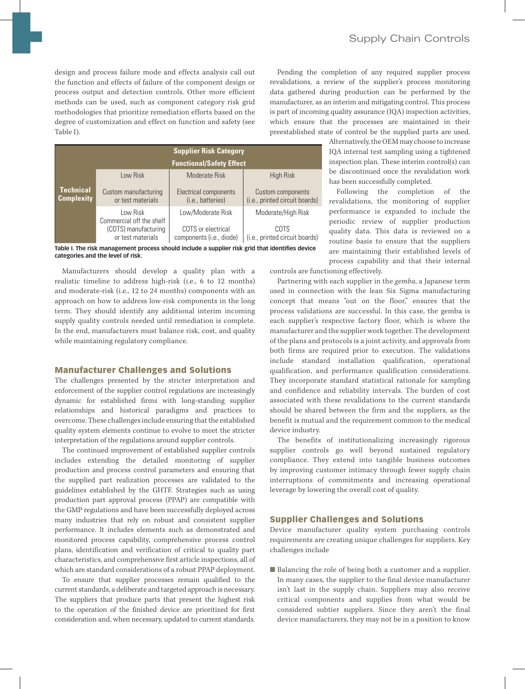design and process failure mode and effects analysis call out the function and effects of failure of the component design or process output and detection controls. Other more efficient methods can be used, such as component category risk grid methodologies that prioritize remediation efforts based on the degree of customization and effect on function and safety (see Table I).

| <b>Supplier Risk Category</b>         |                                           |                                                |                                                     |
|---------------------------------------|-------------------------------------------|------------------------------------------------|-----------------------------------------------------|
|                                       | <b>Functional/Safety Effect</b>           |                                                |                                                     |
|                                       | Low Risk                                  | Moderate Risk                                  | <b>High Risk</b>                                    |
| <b>Technical</b><br><b>Complexity</b> | Custom manufacturing<br>or test materials | Electrical components<br>(i.e., batteries)     | Custom components<br>(i.e., printed circuit boards) |
|                                       | Low Risk<br>Commercial off the shelf      | Low/Moderate Risk                              | Moderate/High Risk                                  |
|                                       | (COTS) manufacturing<br>or test materials | COTS or electrical<br>components (i.e., diode) | COTS<br>(i.e., printed circuit boards)              |



Manufacturers should develop a quality plan with a realistic timeline to address high-risk (i.e., 6 to 12 months) and moderate-risk (i.e., 12 to 24 months) components with an approach on how to address low-risk components in the long term. They should identify any additional interim incoming supply quality controls needed until remediation is complete. In the end, manufacturers must balance risk, cost, and quality while maintaining regulatory compliance.

#### Manufacturer Challenges and Solutions

The challenges presented by the stricter interpretation and enforcement of the supplier control regulations are increasingly dynamic for established firms with long-standing supplier relationships and historical paradigms and practices to overcome. These challenges include ensuring that the established quality system elements continue to evolve to meet the stricter interpretation of the regulations around supplier controls.

The continued improvement of established supplier controls includes extending the detailed monitoring of supplier production and process control parameters and ensuring that the supplied part realization processes are validated to the guidelines established by the GHTF. Strategies such as using production part approval process (PPAP) are compatible with the GMP regulations and have been successfully deployed across many industries that rely on robust and consistent supplier performance. It includes elements such as demonstrated and monitored process capability, comprehensive process control plans, identification and verification of critical to quality part characteristics, and comprehensive first article inspections, all of which are standard considerations of a robust PPAP deployment.

To ensure that supplier processes remain qualified to the current standards, a deliberate and targeted approach is necessary. The suppliers that produce parts that present the highest risk to the operation of the finished device are prioritized for first consideration and, when necessary, updated to current standards.

Pending the completion of any required supplier process revalidations, a review of the supplier's process monitoring data gathered during production can be performed by the manufacturer, as an interim and mitigating control. This process is part of incoming quality assurance (IQA) inspection activities, which ensure that the processes are maintained in their preestablished state of control be the supplied parts are used.

> Alternatively, the OEM may choose to increase IQA internal test sampling using a tightened inspection plan. These interim control(s) can be discontinued once the revalidation work has been successfully completed.

> Following the completion of the revalidations, the monitoring of supplier performance is expanded to include the periodic review of supplier production quality data. This data is reviewed on a routine basis to ensure that the suppliers are maintaining their established levels of process capability and that their internal

controls are functioning effectively.

Partnering with each supplier in the *gemba*, a Japanese term used in connection with the lean Six Sigma manufacturing concept that means "out on the floor," ensures that the process validations are successful. In this case, the gemba is each supplier's respective factory floor, which is where the manufacturer and the supplier work together. The development of the plans and protocols is a joint activity, and approvals from both firms are required prior to execution. The validations include standard installation qualification, operational qualification, and performance qualification considerations. They incorporate standard statistical rationale for sampling and confidence and reliability intervals. The burden of cost associated with these revalidations to the current standards should be shared between the firm and the suppliers, as the benefit is mutual and the requirement common to the medical device industry.

The benefits of institutionalizing increasingly rigorous supplier controls go well beyond sustained regulatory compliance. They extend into tangible business outcomes by improving customer intimacy through fewer supply chain interruptions of commitments and increasing operational leverage by lowering the overall cost of quality.

# Supplier Challenges and Solutions

Device manufacturer quality system purchasing controls requirements are creating unique challenges for suppliers. Key challenges include

■ Balancing the role of being both a customer and a supplier. In many cases, the supplier to the final device manufacturer isn't last in the supply chain. Suppliers may also receive critical components and supplies from what would be considered subtier suppliers. Since they aren't the final device manufacturers, they may not be in a position to know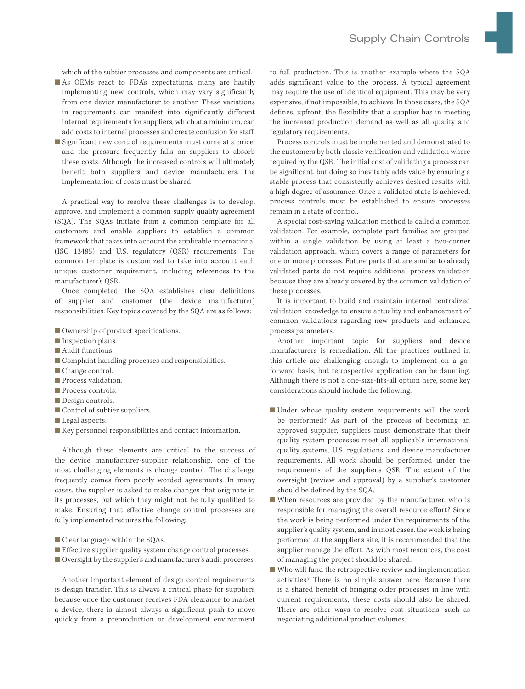which of the subtier processes and components are critical.

- As OEMs react to FDA's expectations, many are hastily implementing new controls, which may vary significantly from one device manufacturer to another. These variations in requirements can manifest into significantly different internal requirements for suppliers, which at a minimum, can add costs to internal processes and create confusion for staff.
- Significant new control requirements must come at a price, and the pressure frequently falls on suppliers to absorb these costs. Although the increased controls will ultimately benefit both suppliers and device manufacturers, the implementation of costs must be shared.

A practical way to resolve these challenges is to develop, approve, and implement a common supply quality agreement (SQA). The SQAs initiate from a common template for all customers and enable suppliers to establish a common framework that takes into account the applicable international (ISO 13485) and U.S. regulatory (QSR) requirements. The common template is customized to take into account each unique customer requirement, including references to the manufacturer's QSR.

Once completed, the SQA establishes clear definitions of supplier and customer (the device manufacturer) responsibilities. Key topics covered by the SQA are as follows:

- Ownership of product specifications.
- Inspection plans.
- Audit functions.
- $\blacksquare$  <br> Complaint handling processes and responsibilities.
- Change control.
- Process validation.
- Process controls.
- Design controls.
- Control of subtier suppliers.
- Legal aspects.
- Key personnel responsibilities and contact information.

Although these elements are critical to the success of the device manufacturer-supplier relationship, one of the most challenging elements is change control. The challenge frequently comes from poorly worded agreements. In many cases, the supplier is asked to make changes that originate in its processes, but which they might not be fully qualified to make. Ensuring that effective change control processes are fully implemented requires the following:

- Clear language within the SQAs.
- Effective supplier quality system change control processes.
- Oversight by the supplier's and manufacturer's audit processes.

Another important element of design control requirements is design transfer. This is always a critical phase for suppliers because once the customer receives FDA clearance to market a device, there is almost always a significant push to move quickly from a preproduction or development environment to full production. This is another example where the SQA adds significant value to the process. A typical agreement may require the use of identical equipment. This may be very expensive, if not impossible, to achieve. In those cases, the SQA defines, upfront, the flexibility that a supplier has in meeting the increased production demand as well as all quality and regulatory requirements.

Process controls must be implemented and demonstrated to the customers by both classic verification and validation where required by the QSR. The initial cost of validating a process can be significant, but doing so inevitably adds value by ensuring a stable process that consistently achieves desired results with a high degree of assurance. Once a validated state is achieved, process controls must be established to ensure processes remain in a state of control.

A special cost-saving validation method is called a common validation. For example, complete part families are grouped within a single validation by using at least a two-corner validation approach, which covers a range of parameters for one or more processes. Future parts that are similar to already validated parts do not require additional process validation because they are already covered by the common validation of these processes.

It is important to build and maintain internal centralized validation knowledge to ensure actuality and enhancement of common validations regarding new products and enhanced process parameters.

Another important topic for suppliers and device manufacturers is remediation. All the practices outlined in this article are challenging enough to implement on a goforward basis, but retrospective application can be daunting. Although there is not a one-size-fits-all option here, some key considerations should include the following:

- Under whose quality system requirements will the work be performed? As part of the process of becoming an approved supplier, suppliers must demonstrate that their quality system processes meet all applicable international quality systems, U.S. regulations, and device manufacturer requirements. All work should be performed under the requirements of the supplier's QSR. The extent of the oversight (review and approval) by a supplier's customer should be defined by the SQA.
- When resources are provided by the manufacturer, who is responsible for managing the overall resource effort? Since the work is being performed under the requirements of the supplier's quality system, and in most cases, the work is being performed at the supplier's site, it is recommended that the supplier manage the effort. As with most resources, the cost of managing the project should be shared.
- Who will fund the retrospective review and implementation activities? There is no simple answer here. Because there is a shared benefit of bringing older processes in line with current requirements, these costs should also be shared. There are other ways to resolve cost situations, such as negotiating additional product volumes.